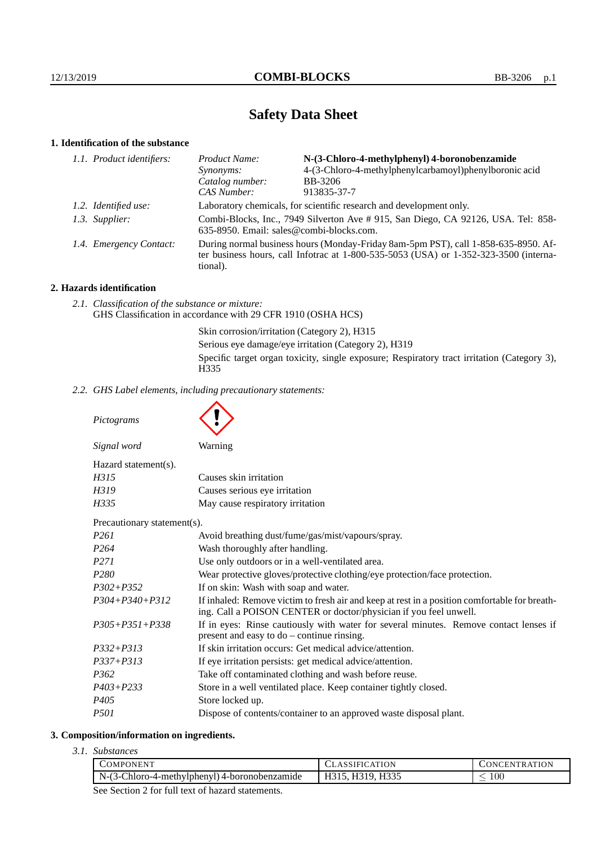# **Safety Data Sheet**

# **1. Identification of the substance**

| 1.1. Product identifiers: | Product Name:                                                                                                                                                                           | N-(3-Chloro-4-methylphenyl) 4-boronobenzamide                       |
|---------------------------|-----------------------------------------------------------------------------------------------------------------------------------------------------------------------------------------|---------------------------------------------------------------------|
|                           | <i>Synonyms:</i>                                                                                                                                                                        | 4-(3-Chloro-4-methylphenylcarbamoyl)phenylboronic acid              |
|                           | Catalog number:                                                                                                                                                                         | BB-3206                                                             |
|                           | CAS Number:                                                                                                                                                                             | 913835-37-7                                                         |
|                           |                                                                                                                                                                                         | Laboratory chemicals, for scientific research and development only. |
|                           | Combi-Blocks, Inc., 7949 Silverton Ave #915, San Diego, CA 92126, USA. Tel: 858-<br>635-8950. Email: sales@combi-blocks.com.                                                            |                                                                     |
|                           | During normal business hours (Monday-Friday 8am-5pm PST), call 1-858-635-8950. Af-<br>ter business hours, call Infotrac at 1-800-535-5053 (USA) or 1-352-323-3500 (interna-<br>tional). |                                                                     |
|                           | 1.2. Identified use:<br>1.3. Supplier:<br>1.4. Emergency Contact:                                                                                                                       |                                                                     |

# **2. Hazards identification**

*2.1. Classification of the substance or mixture:* GHS Classification in accordance with 29 CFR 1910 (OSHA HCS)

> Skin corrosion/irritation (Category 2), H315 Serious eye damage/eye irritation (Category 2), H319 Specific target organ toxicity, single exposure; Respiratory tract irritation (Category 3), H335

*2.2. GHS Label elements, including precautionary statements:*

*Pictograms*

Ä

| Signal word                              | Warning                       |  |
|------------------------------------------|-------------------------------|--|
| Hazard statement(s).                     |                               |  |
| H315                                     | Causes skin irritation        |  |
| H319                                     | Causes serious eye irritation |  |
| May cause respiratory irritation<br>H335 |                               |  |
| Precautionary statement(s).              |                               |  |

| P <sub>261</sub>     | Avoid breathing dust/fume/gas/mist/vapours/spray.                                                                                                                  |
|----------------------|--------------------------------------------------------------------------------------------------------------------------------------------------------------------|
| P264                 | Wash thoroughly after handling.                                                                                                                                    |
| P271                 | Use only outdoors or in a well-ventilated area.                                                                                                                    |
| P <sub>280</sub>     | Wear protective gloves/protective clothing/eye protection/face protection.                                                                                         |
| $P302 + P352$        | If on skin: Wash with soap and water.                                                                                                                              |
| $P304 + P340 + P312$ | If inhaled: Remove victim to fresh air and keep at rest in a position comfortable for breath-<br>ing. Call a POISON CENTER or doctor/physician if you feel unwell. |
| $P305 + P351 + P338$ | If in eyes: Rinse cautiously with water for several minutes. Remove contact lenses if<br>present and easy to $do$ – continue rinsing.                              |
| $P332 + P313$        | If skin irritation occurs: Get medical advice/attention.                                                                                                           |
| $P337 + P313$        | If eye irritation persists: get medical advice/attention.                                                                                                          |
| P <sub>362</sub>     | Take off contaminated clothing and wash before reuse.                                                                                                              |
| $P403 + P233$        | Store in a well ventilated place. Keep container tightly closed.                                                                                                   |
| P405                 | Store locked up.                                                                                                                                                   |
| <i>P501</i>          | Dispose of contents/container to an approved waste disposal plant.                                                                                                 |

### **3. Composition/information on ingredients.**

*3.1. Substances*

|  | COMPONENT                                             | <b>LASSIFICATION</b> | CONCENTRATION |
|--|-------------------------------------------------------|----------------------|---------------|
|  | $\vert$ N-(3-Chloro-4-methylphenyl) 4-boronobenzamide | H315, H319, H335     | 100           |
|  |                                                       |                      |               |

See Section 2 for full text of hazard statements.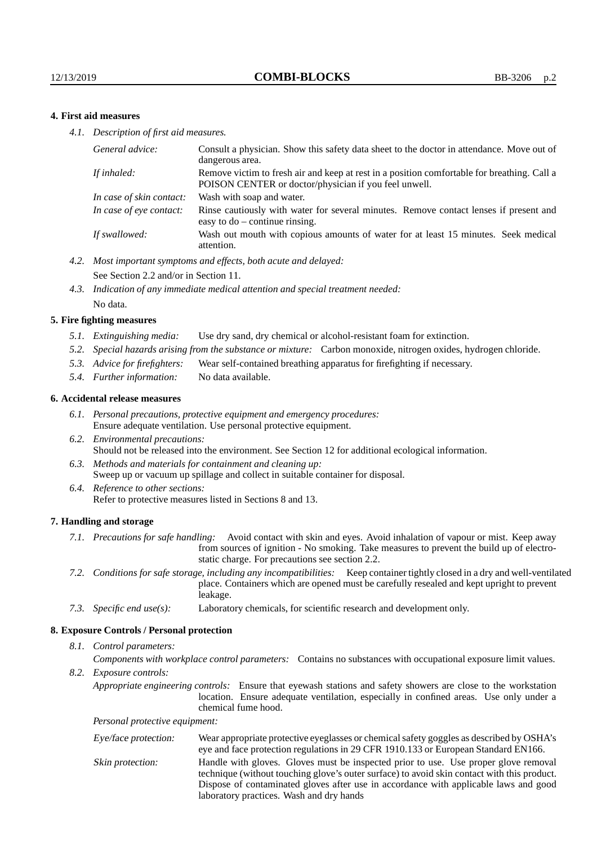## **4. First aid measures**

*4.1. Description of first aid measures.*

| General advice:          | Consult a physician. Show this safety data sheet to the doctor in attendance. Move out of<br>dangerous area.                                         |
|--------------------------|------------------------------------------------------------------------------------------------------------------------------------------------------|
| If inhaled:              | Remove victim to fresh air and keep at rest in a position comfortable for breathing. Call a<br>POISON CENTER or doctor/physician if you feel unwell. |
| In case of skin contact: | Wash with soap and water.                                                                                                                            |
| In case of eye contact:  | Rinse cautiously with water for several minutes. Remove contact lenses if present and<br>easy to $do$ – continue rinsing.                            |
| If swallowed:            | Wash out mouth with copious amounts of water for at least 15 minutes. Seek medical<br>attention.                                                     |

- *4.2. Most important symptoms and effects, both acute and delayed:* See Section 2.2 and/or in Section 11.
- *4.3. Indication of any immediate medical attention and special treatment needed:* No data.

#### **5. Fire fighting measures**

- *5.1. Extinguishing media:* Use dry sand, dry chemical or alcohol-resistant foam for extinction.
- *5.2. Special hazards arising from the substance or mixture:* Carbon monoxide, nitrogen oxides, hydrogen chloride.
- *5.3. Advice for firefighters:* Wear self-contained breathing apparatus for firefighting if necessary.
- *5.4. Further information:* No data available.

#### **6. Accidental release measures**

- *6.1. Personal precautions, protective equipment and emergency procedures:* Ensure adequate ventilation. Use personal protective equipment.
- *6.2. Environmental precautions:* Should not be released into the environment. See Section 12 for additional ecological information.
- *6.3. Methods and materials for containment and cleaning up:* Sweep up or vacuum up spillage and collect in suitable container for disposal.
- *6.4. Reference to other sections:* Refer to protective measures listed in Sections 8 and 13.

#### **7. Handling and storage**

- *7.1. Precautions for safe handling:* Avoid contact with skin and eyes. Avoid inhalation of vapour or mist. Keep away from sources of ignition - No smoking. Take measures to prevent the build up of electrostatic charge. For precautions see section 2.2.
- *7.2. Conditions for safe storage, including any incompatibilities:* Keep container tightly closed in a dry and well-ventilated place. Containers which are opened must be carefully resealed and kept upright to prevent leakage.
- *7.3. Specific end use(s):* Laboratory chemicals, for scientific research and development only.

#### **8. Exposure Controls / Personal protection**

*8.1. Control parameters:*

*Components with workplace control parameters:* Contains no substances with occupational exposure limit values.

*8.2. Exposure controls:*

*Appropriate engineering controls:* Ensure that eyewash stations and safety showers are close to the workstation location. Ensure adequate ventilation, especially in confined areas. Use only under a chemical fume hood.

*Personal protective equipment:*

| Eye/face protection: | Wear appropriate protective eyeglasses or chemical safety goggles as described by OSHA's<br>eye and face protection regulations in 29 CFR 1910.133 or European Standard EN166.                                                                                                                                         |
|----------------------|------------------------------------------------------------------------------------------------------------------------------------------------------------------------------------------------------------------------------------------------------------------------------------------------------------------------|
| Skin protection:     | Handle with gloves. Gloves must be inspected prior to use. Use proper glove removal<br>technique (without touching glove's outer surface) to avoid skin contact with this product.<br>Dispose of contaminated gloves after use in accordance with applicable laws and good<br>laboratory practices. Wash and dry hands |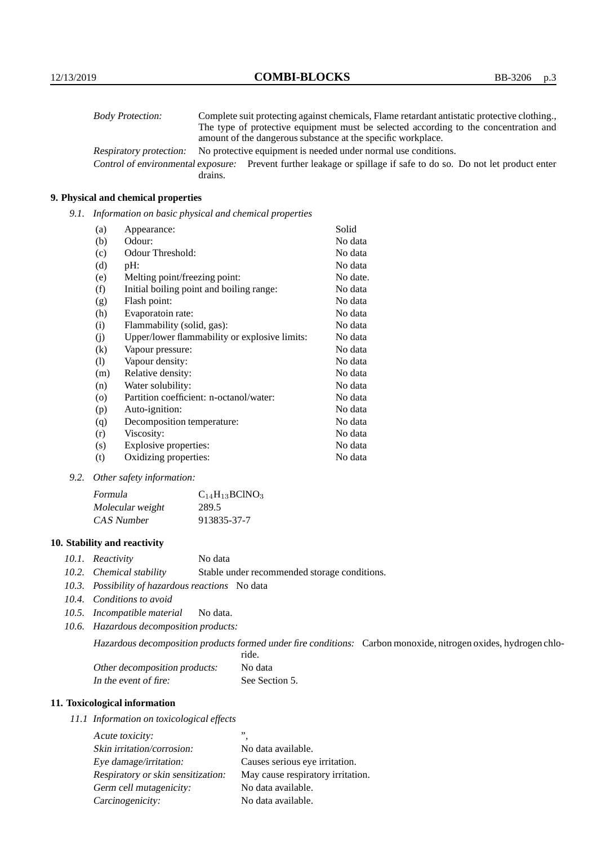| <b>Body Protection:</b> | Complete suit protecting against chemicals, Flame retardant antistatic protective clothing.                       |
|-------------------------|-------------------------------------------------------------------------------------------------------------------|
|                         | The type of protective equipment must be selected according to the concentration and                              |
|                         | amount of the dangerous substance at the specific workplace.                                                      |
| Respiratory protection: | No protective equipment is needed under normal use conditions.                                                    |
|                         | Control of environmental exposure: Prevent further leakage or spillage if safe to do so. Do not let product enter |
|                         | drains.                                                                                                           |

## **9. Physical and chemical properties**

*9.1. Information on basic physical and chemical properties*

| (a)                        | Appearance:                                   | Solid    |
|----------------------------|-----------------------------------------------|----------|
| (b)                        | Odour:                                        | No data  |
| (c)                        | Odour Threshold:                              | No data  |
| (d)                        | pH:                                           | No data  |
| (e)                        | Melting point/freezing point:                 | No date. |
| (f)                        | Initial boiling point and boiling range:      | No data  |
| (g)                        | Flash point:                                  | No data  |
| (h)                        | Evaporatoin rate:                             | No data  |
| (i)                        | Flammability (solid, gas):                    | No data  |
| (j)                        | Upper/lower flammability or explosive limits: | No data  |
| $\rm(k)$                   | Vapour pressure:                              | No data  |
| $\left( \mathrm{l}\right)$ | Vapour density:                               | No data  |
| (m)                        | Relative density:                             | No data  |
| (n)                        | Water solubility:                             | No data  |
| $\circ$                    | Partition coefficient: n-octanol/water:       | No data  |
| (p)                        | Auto-ignition:                                | No data  |
| (q)                        | Decomposition temperature:                    | No data  |
| (r)                        | Viscosity:                                    | No data  |
| (s)                        | Explosive properties:                         | No data  |
| (t)                        | Oxidizing properties:                         | No data  |

*9.2. Other safety information:*

| Formula          | $C_{14}H_{13}BCINO_3$ |
|------------------|-----------------------|
| Molecular weight | 289.5                 |
| CAS Number       | 913835-37-7           |

## **10. Stability and reactivity**

- *10.1. Reactivity* No data
- *10.2. Chemical stability* Stable under recommended storage conditions.
- *10.3. Possibility of hazardous reactions* No data
- *10.4. Conditions to avoid*
- *10.5. Incompatible material* No data.
- *10.6. Hazardous decomposition products:*

Hazardous decomposition products formed under fire conditions: Carbon monoxide, nitrogen oxides, hydrogen chlo-

|                               | ride.          |
|-------------------------------|----------------|
| Other decomposition products: | No data        |
| In the event of fire:         | See Section 5. |

## **11. Toxicological information**

*11.1 Information on toxicological effects*

| Acute toxicity:                    | ,,                                |
|------------------------------------|-----------------------------------|
| Skin irritation/corrosion:         | No data available.                |
| Eye damage/irritation:             | Causes serious eye irritation.    |
| Respiratory or skin sensitization: | May cause respiratory irritation. |
| Germ cell mutagenicity:            | No data available.                |
| Carcinogenicity:                   | No data available.                |